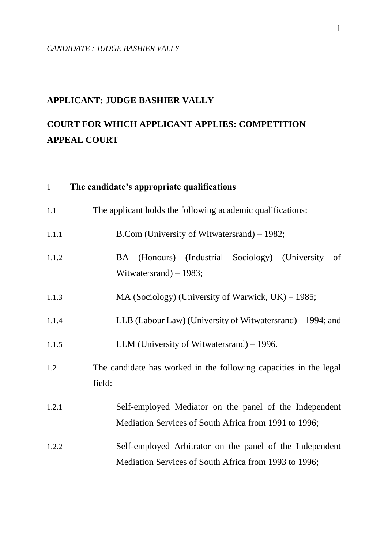# **APPLICANT: JUDGE BASHIER VALLY**

# **COURT FOR WHICH APPLICANT APPLIES: COMPETITION APPEAL COURT**

| $\mathbf{1}$ | The candidate's appropriate qualifications                                                                        |
|--------------|-------------------------------------------------------------------------------------------------------------------|
| 1.1          | The applicant holds the following academic qualifications:                                                        |
| 1.1.1        | B.Com (University of Witwatersrand) – 1982;                                                                       |
| 1.1.2        | (Honours) (Industrial Sociology) (University<br>of<br>BA<br>Witwatersrand) $-1983$ ;                              |
| 1.1.3        | MA (Sociology) (University of Warwick, $UK$ ) – 1985;                                                             |
| 1.1.4        | LLB (Labour Law) (University of Witwatersrand) – 1994; and                                                        |
| 1.1.5        | LLM (University of Witwatersrand) – 1996.                                                                         |
| 1.2          | The candidate has worked in the following capacities in the legal<br>field:                                       |
| 1.2.1        | Self-employed Mediator on the panel of the Independent<br>Mediation Services of South Africa from 1991 to 1996;   |
| 1.2.2        | Self-employed Arbitrator on the panel of the Independent<br>Mediation Services of South Africa from 1993 to 1996; |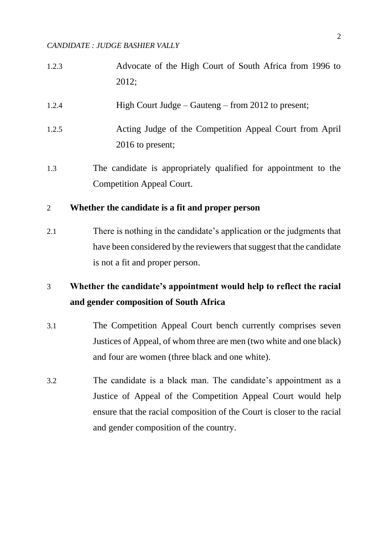- 1.2.3 Advocate of the High Court of South Africa from 1996 to 2012;
- 1.2.4 High Court Judge Gauteng from 2012 to present;
- 1.2.5 Acting Judge of the Competition Appeal Court from April 2016 to present;
- 1.3 The candidate is appropriately qualified for appointment to the Competition Appeal Court.

### 2 **Whether the candidate is a fit and proper person**

2.1 There is nothing in the candidate's application or the judgments that have been considered by the reviewers that suggest that the candidate is not a fit and proper person.

# 3 **Whether the candidate's appointment would help to reflect the racial and gender composition of South Africa**

- 3.1 The Competition Appeal Court bench currently comprises seven Justices of Appeal, of whom three are men (two white and one black) and four are women (three black and one white).
- 3.2 The candidate is a black man. The candidate's appointment as a Justice of Appeal of the Competition Appeal Court would help ensure that the racial composition of the Court is closer to the racial and gender composition of the country.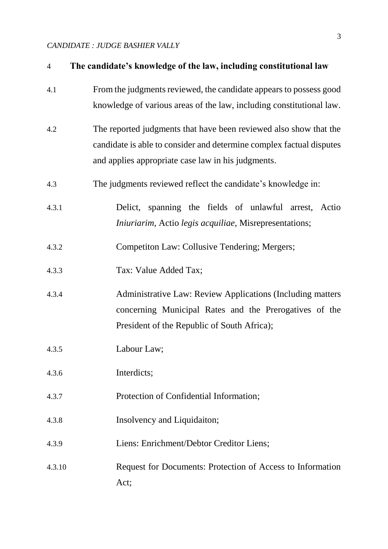| $\overline{4}$ | The candidate's knowledge of the law, including constitutional law                                                                                                                              |
|----------------|-------------------------------------------------------------------------------------------------------------------------------------------------------------------------------------------------|
| 4.1            | From the judgments reviewed, the candidate appears to possess good<br>knowledge of various areas of the law, including constitutional law.                                                      |
| 4.2            | The reported judgments that have been reviewed also show that the<br>candidate is able to consider and determine complex factual disputes<br>and applies appropriate case law in his judgments. |
| 4.3            | The judgments reviewed reflect the candidate's knowledge in:                                                                                                                                    |
| 4.3.1          | Delict, spanning the fields of unlawful arrest, Actio<br>Iniuriarim, Actio legis acquiliae, Misrepresentations;                                                                                 |
| 4.3.2          | Competiton Law: Collusive Tendering; Mergers;                                                                                                                                                   |
| 4.3.3          | Tax: Value Added Tax;                                                                                                                                                                           |
| 4.3.4          | <b>Administrative Law: Review Applications (Including matters)</b><br>concerning Municipal Rates and the Prerogatives of the<br>President of the Republic of South Africa);                     |
| 4.3.5          | Labour Law;                                                                                                                                                                                     |
| 4.3.6          | Interdicts;                                                                                                                                                                                     |
| 4.3.7          | Protection of Confidential Information;                                                                                                                                                         |
| 4.3.8          | Insolvency and Liquidaiton;                                                                                                                                                                     |
| 4.3.9          | Liens: Enrichment/Debtor Creditor Liens;                                                                                                                                                        |
| 4.3.10         | Request for Documents: Protection of Access to Information<br>Act;                                                                                                                              |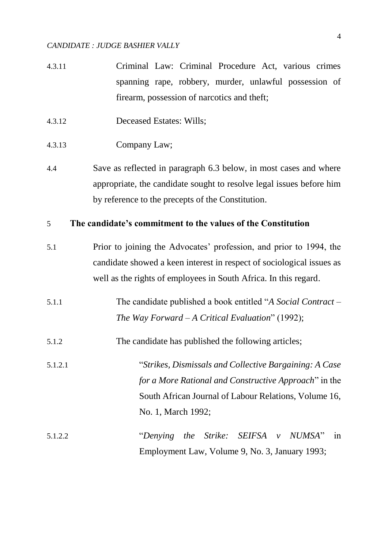- 4.3.11 Criminal Law: Criminal Procedure Act, various crimes spanning rape, robbery, murder, unlawful possession of firearm, possession of narcotics and theft;
- 4.3.12 Deceased Estates: Wills;
- 4.3.13 Company Law;
- 4.4 Save as reflected in paragraph 6.3 below, in most cases and where appropriate, the candidate sought to resolve legal issues before him by reference to the precepts of the Constitution.

# 5 **The candidate's commitment to the values of the Constitution**

- 5.1 Prior to joining the Advocates' profession, and prior to 1994, the candidate showed a keen interest in respect of sociological issues as well as the rights of employees in South Africa. In this regard.
- 5.1.1 The candidate published a book entitled "*A Social Contract – The Way Forward – A Critical Evaluation*" (1992);
- 5.1.2 The candidate has published the following articles;
- 5.1.2.1 "*Strikes, Dismissals and Collective Bargaining: A Case for a More Rational and Constructive Approach*" in the South African Journal of Labour Relations, Volume 16, No. 1, March 1992;
- 5.1.2.2 "*Denying the Strike: SEIFSA v NUMSA*" in Employment Law, Volume 9, No. 3, January 1993;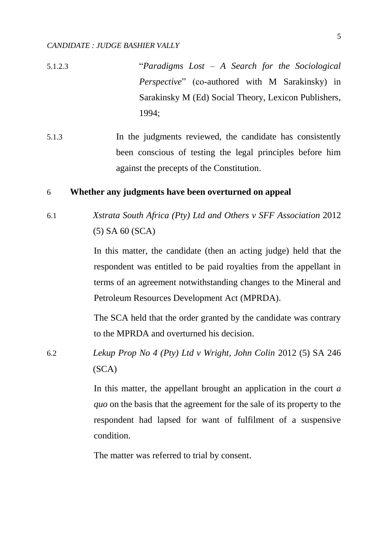- 5.1.2.3 "*Paradigms Lost – A Search for the Sociological Perspective*" (co-authored with M Sarakinsky) in Sarakinsky M (Ed) Social Theory, Lexicon Publishers, 1994;
- 5.1.3 In the judgments reviewed, the candidate has consistently been conscious of testing the legal principles before him against the precepts of the Constitution.

### 6 **Whether any judgments have been overturned on appeal**

6.1 *Xstrata South Africa (Pty) Ltd and Others v SFF Association* 2012 (5) SA 60 (SCA)

> In this matter, the candidate (then an acting judge) held that the respondent was entitled to be paid royalties from the appellant in terms of an agreement notwithstanding changes to the Mineral and Petroleum Resources Development Act (MPRDA).

> The SCA held that the order granted by the candidate was contrary to the MPRDA and overturned his decision.

6.2 *Lekup Prop No 4 (Pty) Ltd v Wright, John Colin* 2012 (5) SA 246 (SCA)

> In this matter, the appellant brought an application in the court *a quo* on the basis that the agreement for the sale of its property to the respondent had lapsed for want of fulfilment of a suspensive condition.

The matter was referred to trial by consent.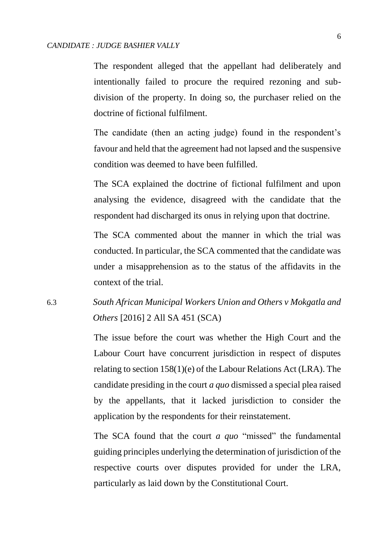The respondent alleged that the appellant had deliberately and intentionally failed to procure the required rezoning and subdivision of the property. In doing so, the purchaser relied on the doctrine of fictional fulfilment.

The candidate (then an acting judge) found in the respondent's favour and held that the agreement had not lapsed and the suspensive condition was deemed to have been fulfilled.

The SCA explained the doctrine of fictional fulfilment and upon analysing the evidence, disagreed with the candidate that the respondent had discharged its onus in relying upon that doctrine.

The SCA commented about the manner in which the trial was conducted. In particular, the SCA commented that the candidate was under a misapprehension as to the status of the affidavits in the context of the trial.

# 6.3 *South African Municipal Workers Union and Others v Mokgatla and Others* [2016] 2 All SA 451 (SCA)

The issue before the court was whether the High Court and the Labour Court have concurrent jurisdiction in respect of disputes relating to section 158(1)(e) of the Labour Relations Act (LRA). The candidate presiding in the court *a quo* dismissed a special plea raised by the appellants, that it lacked jurisdiction to consider the application by the respondents for their reinstatement.

The SCA found that the court *a quo* "missed" the fundamental guiding principles underlying the determination of jurisdiction of the respective courts over disputes provided for under the LRA, particularly as laid down by the Constitutional Court.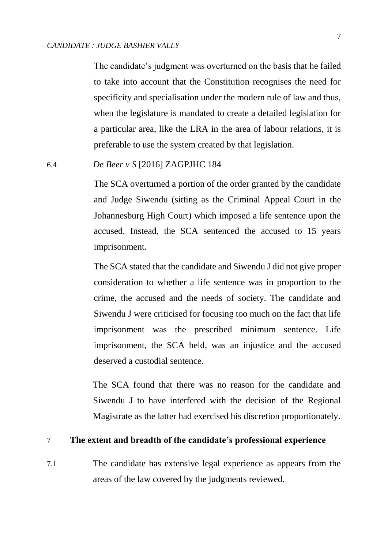The candidate's judgment was overturned on the basis that he failed to take into account that the Constitution recognises the need for specificity and specialisation under the modern rule of law and thus, when the legislature is mandated to create a detailed legislation for a particular area, like the LRA in the area of labour relations, it is preferable to use the system created by that legislation.

### 6.4 *De Beer v S* [2016] ZAGPJHC 184

The SCA overturned a portion of the order granted by the candidate and Judge Siwendu (sitting as the Criminal Appeal Court in the Johannesburg High Court) which imposed a life sentence upon the accused. Instead, the SCA sentenced the accused to 15 years imprisonment.

The SCA stated that the candidate and Siwendu J did not give proper consideration to whether a life sentence was in proportion to the crime, the accused and the needs of society. The candidate and Siwendu J were criticised for focusing too much on the fact that life imprisonment was the prescribed minimum sentence. Life imprisonment, the SCA held, was an injustice and the accused deserved a custodial sentence.

The SCA found that there was no reason for the candidate and Siwendu J to have interfered with the decision of the Regional Magistrate as the latter had exercised his discretion proportionately.

## 7 **The extent and breadth of the candidate's professional experience**

7.1 The candidate has extensive legal experience as appears from the areas of the law covered by the judgments reviewed.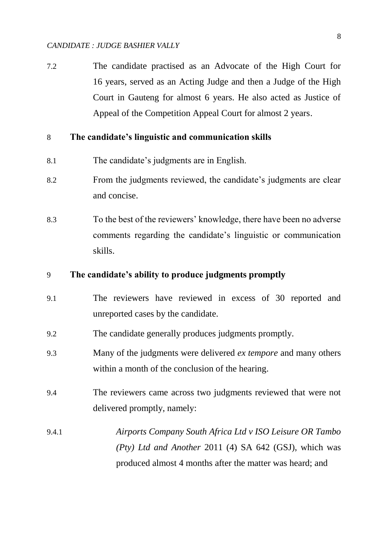7.2 The candidate practised as an Advocate of the High Court for 16 years, served as an Acting Judge and then a Judge of the High Court in Gauteng for almost 6 years. He also acted as Justice of Appeal of the Competition Appeal Court for almost 2 years.

#### 8 **The candidate's linguistic and communication skills**

- 8.1 The candidate's judgments are in English.
- 8.2 From the judgments reviewed, the candidate's judgments are clear and concise.
- 8.3 To the best of the reviewers' knowledge, there have been no adverse comments regarding the candidate's linguistic or communication skills.

#### 9 **The candidate's ability to produce judgments promptly**

- 9.1 The reviewers have reviewed in excess of 30 reported and unreported cases by the candidate.
- 9.2 The candidate generally produces judgments promptly.
- 9.3 Many of the judgments were delivered *ex tempore* and many others within a month of the conclusion of the hearing.
- 9.4 The reviewers came across two judgments reviewed that were not delivered promptly, namely:
- 9.4.1 *Airports Company South Africa Ltd v ISO Leisure OR Tambo (Pty) Ltd and Another* 2011 (4) SA 642 (GSJ), which was produced almost 4 months after the matter was heard; and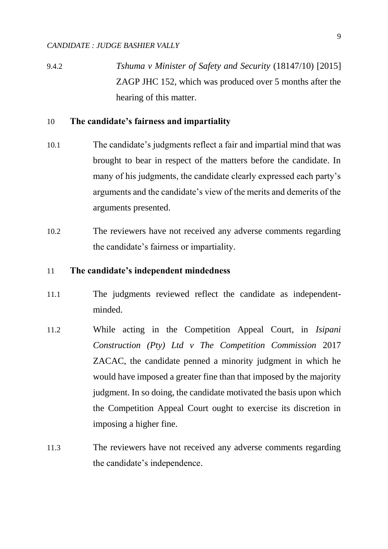9.4.2 *Tshuma v Minister of Safety and Security* (18147/10) [2015] ZAGP JHC 152, which was produced over 5 months after the hearing of this matter.

### 10 **The candidate's fairness and impartiality**

- 10.1 The candidate's judgments reflect a fair and impartial mind that was brought to bear in respect of the matters before the candidate. In many of his judgments, the candidate clearly expressed each party's arguments and the candidate's view of the merits and demerits of the arguments presented.
- 10.2 The reviewers have not received any adverse comments regarding the candidate's fairness or impartiality.

#### 11 **The candidate's independent mindedness**

- 11.1 The judgments reviewed reflect the candidate as independentminded.
- 11.2 While acting in the Competition Appeal Court, in *Isipani Construction (Pty) Ltd v The Competition Commission* 2017 ZACAC, the candidate penned a minority judgment in which he would have imposed a greater fine than that imposed by the majority judgment. In so doing, the candidate motivated the basis upon which the Competition Appeal Court ought to exercise its discretion in imposing a higher fine.
- 11.3 The reviewers have not received any adverse comments regarding the candidate's independence.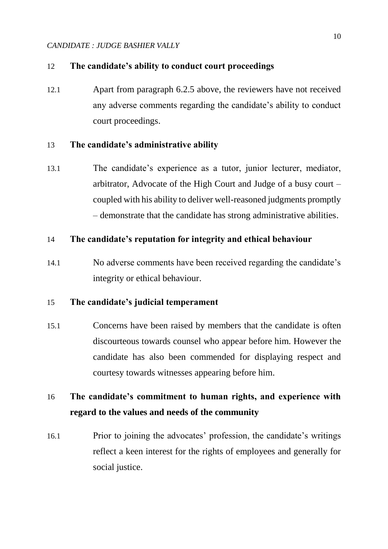## 12 **The candidate's ability to conduct court proceedings**

12.1 Apart from paragraph 6.2.5 above, the reviewers have not received any adverse comments regarding the candidate's ability to conduct court proceedings.

# 13 **The candidate's administrative ability**

13.1 The candidate's experience as a tutor, junior lecturer, mediator, arbitrator, Advocate of the High Court and Judge of a busy court – coupled with his ability to deliver well-reasoned judgments promptly – demonstrate that the candidate has strong administrative abilities.

# 14 **The candidate's reputation for integrity and ethical behaviour**

14.1 No adverse comments have been received regarding the candidate's integrity or ethical behaviour.

## 15 **The candidate's judicial temperament**

15.1 Concerns have been raised by members that the candidate is often discourteous towards counsel who appear before him. However the candidate has also been commended for displaying respect and courtesy towards witnesses appearing before him.

# 16 **The candidate's commitment to human rights, and experience with regard to the values and needs of the community**

16.1 Prior to joining the advocates' profession, the candidate's writings reflect a keen interest for the rights of employees and generally for social justice.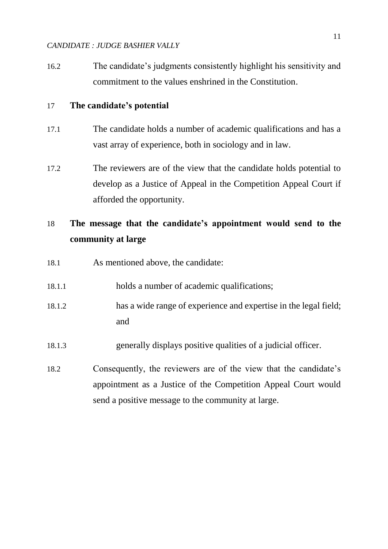16.2 The candidate's judgments consistently highlight his sensitivity and commitment to the values enshrined in the Constitution.

### 17 **The candidate's potential**

- 17.1 The candidate holds a number of academic qualifications and has a vast array of experience, both in sociology and in law.
- 17.2 The reviewers are of the view that the candidate holds potential to develop as a Justice of Appeal in the Competition Appeal Court if afforded the opportunity.

# 18 **The message that the candidate's appointment would send to the community at large**

- 18.1 As mentioned above, the candidate:
- 18.1.1 holds a number of academic qualifications;
- 18.1.2 has a wide range of experience and expertise in the legal field; and
- 18.1.3 generally displays positive qualities of a judicial officer.
- 18.2 Consequently, the reviewers are of the view that the candidate's appointment as a Justice of the Competition Appeal Court would send a positive message to the community at large.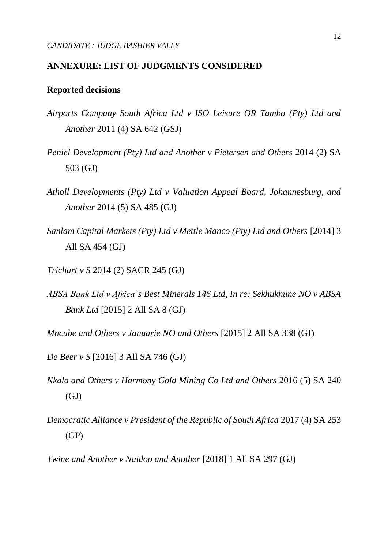### **ANNEXURE: LIST OF JUDGMENTS CONSIDERED**

#### **Reported decisions**

- *Airports Company South Africa Ltd v ISO Leisure OR Tambo (Pty) Ltd and Another* 2011 (4) SA 642 (GSJ)
- *Peniel Development (Pty) Ltd and Another v Pietersen and Others* 2014 (2) SA 503 (GJ)
- *Atholl Developments (Pty) Ltd v Valuation Appeal Board, Johannesburg, and Another* 2014 (5) SA 485 (GJ)
- *Sanlam Capital Markets (Pty) Ltd v Mettle Manco (Pty) Ltd and Others* [2014] 3 All SA 454 (GJ)
- *Trichart v S* 2014 (2) SACR 245 (GJ)
- *ABSA Bank Ltd v Africa's Best Minerals 146 Ltd, In re: Sekhukhune NO v ABSA Bank Ltd* [2015] 2 All SA 8 (GJ)

*Mncube and Others v Januarie NO and Others* [2015] 2 All SA 338 (GJ)

- *De Beer v S* [2016] 3 All SA 746 (GJ)
- *Nkala and Others v Harmony Gold Mining Co Ltd and Others* 2016 (5) SA 240  $(GJ)$
- *Democratic Alliance v President of the Republic of South Africa* 2017 (4) SA 253 (GP)

*Twine and Another v Naidoo and Another* [2018] 1 All SA 297 (GJ)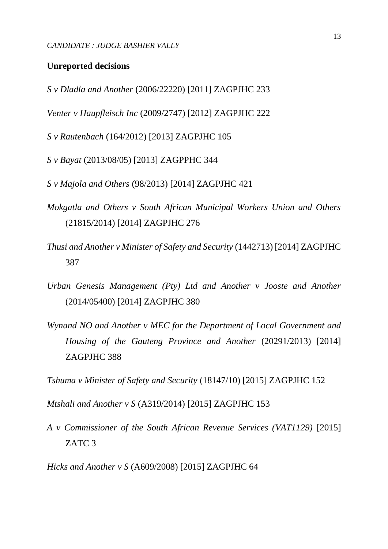#### **Unreported decisions**

*S v Dladla and Another* (2006/22220) [2011] ZAGPJHC 233

*Venter v Haupfleisch Inc* (2009/2747) [2012] ZAGPJHC 222

*S v Rautenbach* (164/2012) [2013] ZAGPJHC 105

*S v Bayat* (2013/08/05) [2013] ZAGPPHC 344

*S v Majola and Others* (98/2013) [2014] ZAGPJHC 421

- *Mokgatla and Others v South African Municipal Workers Union and Others*  (21815/2014) [2014] ZAGPJHC 276
- *Thusi and Another v Minister of Safety and Security* (1442713) [2014] ZAGPJHC 387
- *Urban Genesis Management (Pty) Ltd and Another v Jooste and Another*  (2014/05400) [2014] ZAGPJHC 380
- *Wynand NO and Another v MEC for the Department of Local Government and Housing of the Gauteng Province and Another* (20291/2013) [2014] ZAGPJHC 388

*Tshuma v Minister of Safety and Security* (18147/10) [2015] ZAGPJHC 152

*Mtshali and Another v S* (A319/2014) [2015] ZAGPJHC 153

*A v Commissioner of the South African Revenue Services (VAT1129)* [2015] ZATC 3

*Hicks and Another v S* (A609/2008) [2015] ZAGPJHC 64